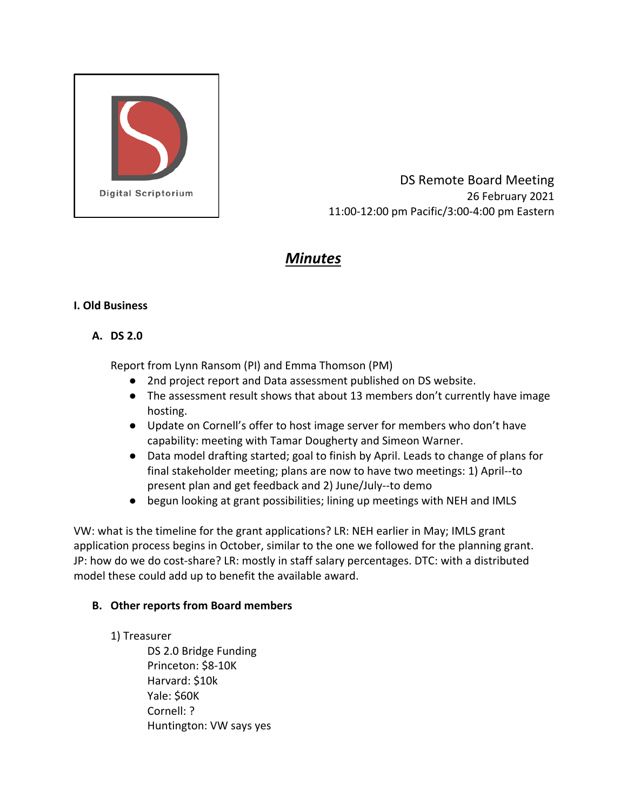

DS Remote Board Meeting 26 February 2021 11:00-12:00 pm Pacific/3:00-4:00 pm Eastern

# *Minutes*

#### **I. Old Business**

## **A. DS 2.0**

Report from Lynn Ransom (PI) and Emma Thomson (PM)

- 2nd project report and Data assessment published on DS website.
- The assessment result shows that about 13 members don't currently have image hosting.
- Update on Cornell's offer to host image server for members who don't have capability: meeting with Tamar Dougherty and Simeon Warner.
- Data model drafting started; goal to finish by April. Leads to change of plans for final stakeholder meeting; plans are now to have two meetings: 1) April--to present plan and get feedback and 2) June/July--to demo
- begun looking at grant possibilities; lining up meetings with NEH and IMLS

VW: what is the timeline for the grant applications? LR: NEH earlier in May; IMLS grant application process begins in October, similar to the one we followed for the planning grant. JP: how do we do cost-share? LR: mostly in staff salary percentages. DTC: with a distributed model these could add up to benefit the available award.

## **B. Other reports from Board members**

## 1) Treasurer

DS 2.0 Bridge Funding Princeton: \$8-10K Harvard: \$10k Yale: \$60K Cornell: ? Huntington: VW says yes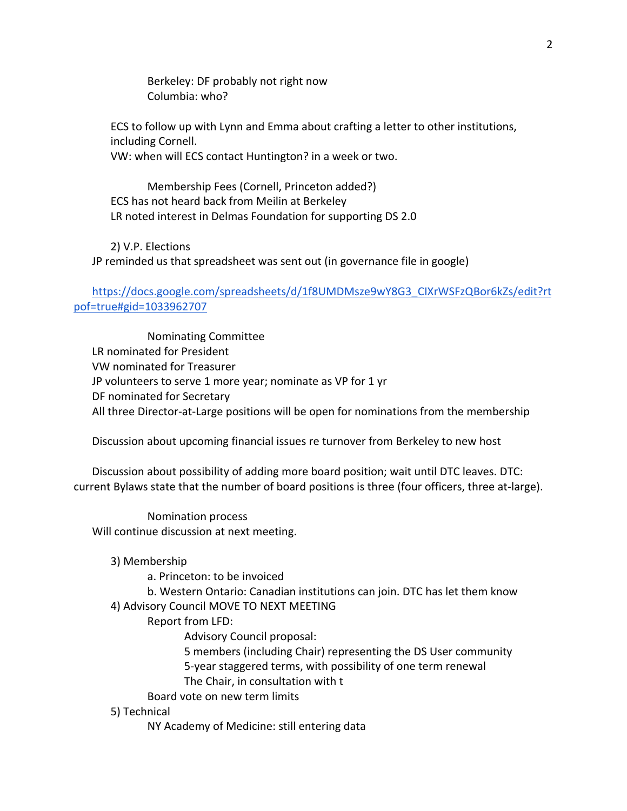Berkeley: DF probably not right now Columbia: who?

ECS to follow up with Lynn and Emma about crafting a letter to other institutions, including Cornell. VW: when will ECS contact Huntington? in a week or two.

Membership Fees (Cornell, Princeton added?) ECS has not heard back from Meilin at Berkeley LR noted interest in Delmas Foundation for supporting DS 2.0

2) V.P. Elections JP reminded us that spreadsheet was sent out (in governance file in google)

[https://docs.google.com/spreadsheets/d/1f8UMDMsze9wY8G3\\_CIXrWSFzQBor6kZs/edit?rt](https://docs.google.com/spreadsheets/d/1f8UMDMsze9wY8G3_CIXrWSFzQBor6kZs/edit?rtpof=true#gid=1033962707) [pof=true#gid=1033962707](https://docs.google.com/spreadsheets/d/1f8UMDMsze9wY8G3_CIXrWSFzQBor6kZs/edit?rtpof=true#gid=1033962707)

Nominating Committee LR nominated for President VW nominated for Treasurer JP volunteers to serve 1 more year; nominate as VP for 1 yr DF nominated for Secretary All three Director-at-Large positions will be open for nominations from the membership

Discussion about upcoming financial issues re turnover from Berkeley to new host

Discussion about possibility of adding more board position; wait until DTC leaves. DTC: current Bylaws state that the number of board positions is three (four officers, three at-large).

Nomination process Will continue discussion at next meeting.

- 3) Membership
	- a. Princeton: to be invoiced
	- b. Western Ontario: Canadian institutions can join. DTC has let them know

#### 4) Advisory Council MOVE TO NEXT MEETING

- Report from LFD:
	- Advisory Council proposal:
		- 5 members (including Chair) representing the DS User community 5-year staggered terms, with possibility of one term renewal
		- The Chair, in consultation with t
- Board vote on new term limits

#### 5) Technical

NY Academy of Medicine: still entering data